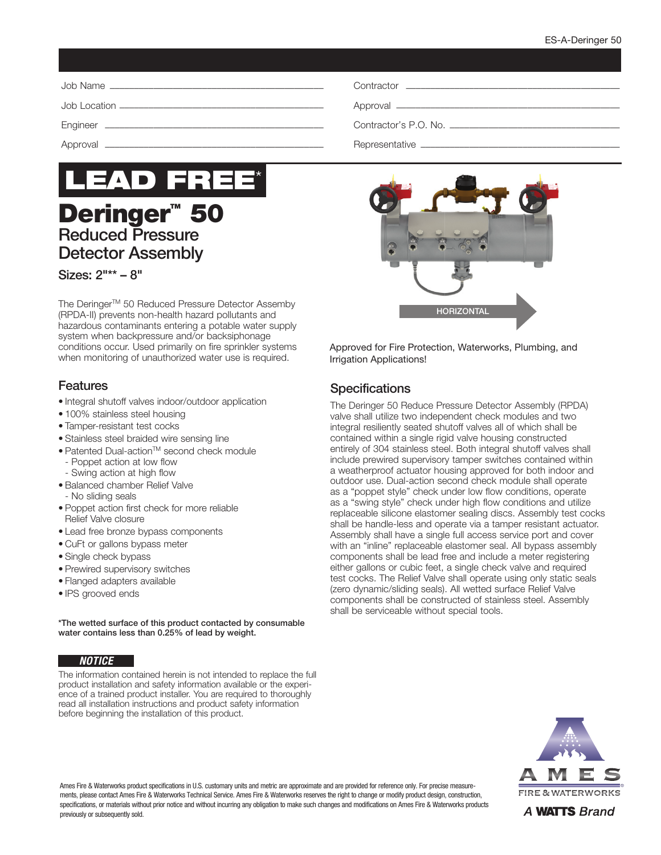

# **Deringer<sup>™</sup> 50** Reduced Pressure Detector Assembly

#### Sizes: 2"\*\* – 8"

The Deringer<sup>™</sup> 50 Reduced Pressure Detector Assemby (RPDA-II) prevents non-health hazard pollutants and hazardous contaminants entering a potable water supply system when backpressure and/or backsiphonage conditions occur. Used primarily on fire sprinkler systems when monitoring of unauthorized water use is required.

## Features

- Integral shutoff valves indoor/outdoor application
- 100% stainless steel housing
- Tamper-resistant test cocks
- Stainless steel braided wire sensing line
- Patented Dual-actionTM second check module
	- Poppet action at low flow
	- Swing action at high flow
- Balanced chamber Relief Valve - No sliding seals
- Poppet action first check for more reliable Relief Valve closure
- Lead free bronze bypass components
- CuFt or gallons bypass meter
- Single check bypass
- Prewired supervisory switches
- Flanged adapters available
- IPS grooved ends

\*The wetted surface of this product contacted by consumable water contains less than 0.25% of lead by weight.

#### *NOTICE*

The information contained herein is not intended to replace the full product installation and safety information available or the experience of a trained product installer. You are required to thoroughly read all installation instructions and product safety information before beginning the installation of this product.

| Representative __        |  |
|--------------------------|--|
|                          |  |
| Contractor's P.O. No. __ |  |



Approved for Fire Protection, Waterworks, Plumbing, and Irrigation Applications!

# **Specifications**

The Deringer 50 Reduce Pressure Detector Assembly (RPDA) valve shall utilize two independent check modules and two integral resiliently seated shutoff valves all of which shall be contained within a single rigid valve housing constructed entirely of 304 stainless steel. Both integral shutoff valves shall include prewired supervisory tamper switches contained within a weatherproof actuator housing approved for both indoor and outdoor use. Dual-action second check module shall operate as a "poppet style" check under low flow conditions, operate as a "swing style" check under high flow conditions and utilize replaceable silicone elastomer sealing discs. Assembly test cocks shall be handle-less and operate via a tamper resistant actuator. Assembly shall have a single full access service port and cover with an "inline" replaceable elastomer seal. All bypass assembly components shall be lead free and include a meter registering either gallons or cubic feet, a single check valve and required test cocks. The Relief Valve shall operate using only static seals (zero dynamic/sliding seals). All wetted surface Relief Valve components shall be constructed of stainless steel. Assembly shall be serviceable without special tools.



Ames Fire & Waterworks product specifications in U.S. customary units and metric are approximate and are provided for reference only. For precise measurements, please contact Ames Fire & Waterworks Technical Service. Ames Fire & Waterworks reserves the right to change or modify product design, construction, specifications, or materials without prior notice and without incurring any obligation to make such changes and modifications on Ames Fire & Waterworks products previously or subsequently sold.

A **WATTS** Brand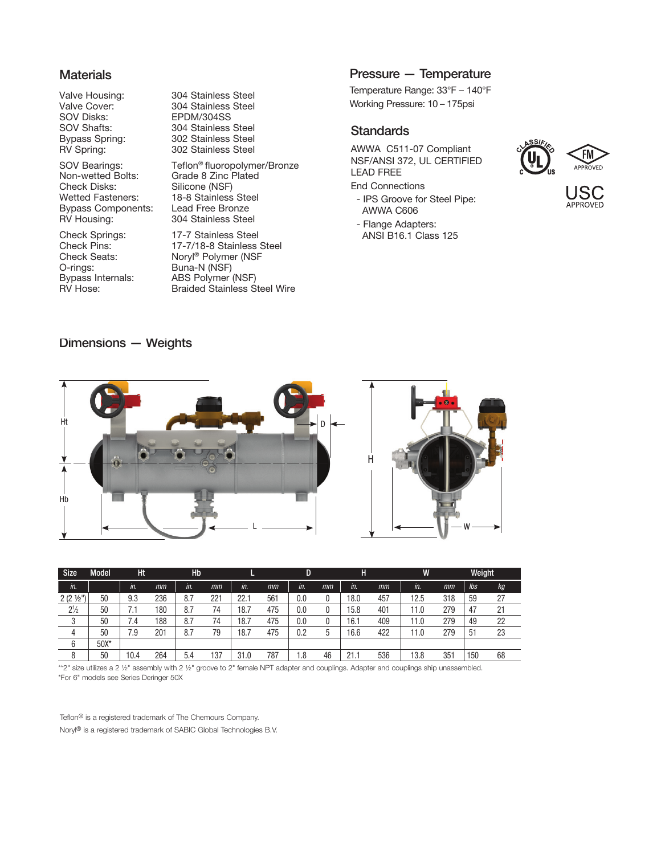#### **Materials**

SOV Disks: EPDM/304SS<br>SOV Shafts: 304 Stainless

Non-wetted Bolts: Grade 8 Zinc Plated<br>Check Disks: Silicone (NSF) Check Disks: Silicone (NSF)<br>Wetted Fasteners: 18-8 Stainless Bypass Components: RV Housing: 304 Stainless Steel

Check Springs: 17-7 Stainless Steel<br>Check Pins: 17-7/18-8 Stainless O-rings: Buna-N (NSF)<br>Bypass Internals: ABS Polymer

Valve Housing: 304 Stainless Steel<br>Valve Cover: 304 Stainless Steel 304 Stainless Steel 304 Stainless Steel Bypass Spring: 302 Stainless Steel<br>RV Spring: 302 Stainless Steel 302 Stainless Steel

SOV Bearings: Teflon<sup>®</sup> fluoropolymer/Bronze 18-8 Stainless Steel<br>Lead Free Bronze

Check Pins: 17-7/18-8 Stainless Steel<br>Check Seats: Noryl® Polymer (NSF Check Seats: Noryl<sup>®</sup> Polymer (NSF<br>O-rings: Buna-N (NSF) Bypass Internals: ABS Polymer (NSF)<br>RV Hose: Braided Stainless S **Braided Stainless Steel Wire** 

#### Pressure — Temperature

Temperature Range: 33°F – 140°F Working Pressure: 10 – 175psi

#### **Standards**

AWWA C511-07 Compliant NSF/ANSI 372, UL CERTIFIED LEAD FREE

End Connections

- IPS Groove for Steel Pipe: AWWA C606
- Flange Adapters: ANSI B16.1 Class 125



JS( APPROVEI

#### Dimensions — Weights



| <b>Size</b>       | <b>Model</b> | Ht.  |     | Hb  |     |      |     | D       |    | Η    |     | W    |     | Weight |    |
|-------------------|--------------|------|-----|-----|-----|------|-----|---------|----|------|-----|------|-----|--------|----|
| in.               |              | in.  | mm  | in. | mm  | in.  | mm  | in.     | mm | in.  | mm  | in.  | mm  | lbs    | кg |
| $2(2\frac{1}{2})$ | 50           | 9.3  | 236 | 8.7 | 221 | 22.1 | 561 | $0.0\,$ |    | 18.0 | 457 | 12.5 | 318 | 59     | 27 |
| $2\frac{1}{2}$    | 50           | 7.1  | 180 | 8.7 | 74  | 18.7 | 475 | $0.0\,$ |    | 15.8 | 401 | 11.0 | 279 | 47     | 21 |
| 3                 | 50           | 7.4  | 188 | 8.7 | 74  | 18.7 | 475 | $0.0\,$ |    | 16.1 | 409 | 11.0 | 279 | 49     | 22 |
| 4                 | 50           | 7.9  | 201 | 8.7 | 79  | 18.7 | 475 | 0.2     |    | 16.6 | 422 | 11.0 | 279 | 51     | 23 |
| 6                 | $50X*$       |      |     |     |     |      |     |         |    |      |     |      |     |        |    |
| 8                 | 50           | 10.4 | 264 | 5.4 | 137 | 31.0 | 787 | 8. ا    | 46 | 21.7 | 536 | 13.8 | 351 | 150    | 68 |

\*\*2" size utilizes a 2 ½" assembly with 2 ½" groove to 2" female NPT adapter and couplings. Adapter and couplings ship unassembled. \*For 6" models see Series Deringer 50X

Teflon® is a registered trademark of The Chemours Company. Noryl® is a registered trademark of SABIC Global Technologies B.V.